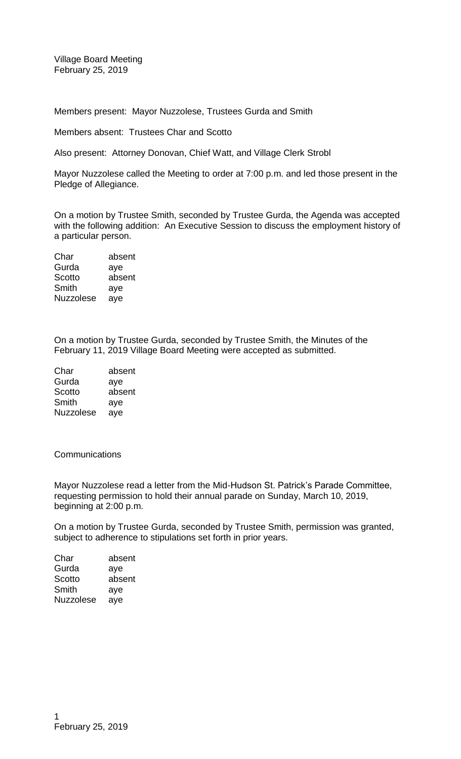Village Board Meeting February 25, 2019

Members present: Mayor Nuzzolese, Trustees Gurda and Smith

Members absent: Trustees Char and Scotto

Also present: Attorney Donovan, Chief Watt, and Village Clerk Strobl

Mayor Nuzzolese called the Meeting to order at 7:00 p.m. and led those present in the Pledge of Allegiance.

On a motion by Trustee Smith, seconded by Trustee Gurda, the Agenda was accepted with the following addition: An Executive Session to discuss the employment history of a particular person.

Char absent Gurda aye Scotto absent Smith aye Nuzzolese aye

On a motion by Trustee Gurda, seconded by Trustee Smith, the Minutes of the February 11, 2019 Village Board Meeting were accepted as submitted.

| Char             | absent |
|------------------|--------|
| Gurda            | aye    |
| Scotto           | absent |
| Smith            | aye    |
| <b>Nuzzolese</b> | ave    |

**Communications** 

Mayor Nuzzolese read a letter from the Mid-Hudson St. Patrick's Parade Committee, requesting permission to hold their annual parade on Sunday, March 10, 2019, beginning at 2:00 p.m.

On a motion by Trustee Gurda, seconded by Trustee Smith, permission was granted, subject to adherence to stipulations set forth in prior years.

| Char      | absent |
|-----------|--------|
| Gurda     | aye    |
| Scotto    | absent |
| Smith     | aye    |
| Nuzzolese | aye    |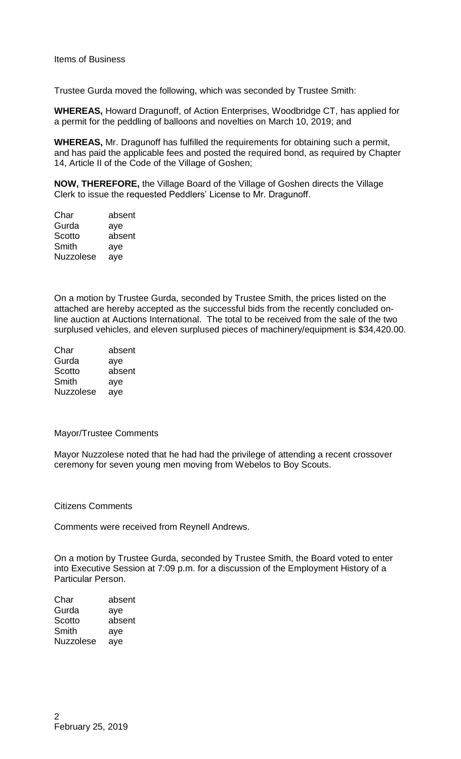Trustee Gurda moved the following, which was seconded by Trustee Smith:

**WHEREAS,** Howard Dragunoff, of Action Enterprises, Woodbridge CT, has applied for a permit for the peddling of balloons and novelties on March 10, 2019; and

**WHEREAS,** Mr. Dragunoff has fulfilled the requirements for obtaining such a permit, and has paid the applicable fees and posted the required bond, as required by Chapter 14, Article II of the Code of the Village of Goshen;

**NOW, THEREFORE,** the Village Board of the Village of Goshen directs the Village Clerk to issue the requested Peddlers' License to Mr. Dragunoff.

| Char             | absent |
|------------------|--------|
| Gurda            | aye    |
| Scotto           | absent |
| Smith            | aye    |
| <b>Nuzzolese</b> | ave    |

On a motion by Trustee Gurda, seconded by Trustee Smith, the prices listed on the attached are hereby accepted as the successful bids from the recently concluded online auction at Auctions International. The total to be received from the sale of the two surplused vehicles, and eleven surplused pieces of machinery/equipment is \$34,420.00.

| Char             | absent |
|------------------|--------|
| Gurda            | aye    |
| Scotto           | absent |
| Smith            | aye    |
| <b>Nuzzolese</b> | aye    |

Mayor/Trustee Comments

Mayor Nuzzolese noted that he had had the privilege of attending a recent crossover ceremony for seven young men moving from Webelos to Boy Scouts.

Citizens Comments

Comments were received from Reynell Andrews.

On a motion by Trustee Gurda, seconded by Trustee Smith, the Board voted to enter into Executive Session at 7:09 p.m. for a discussion of the Employment History of a Particular Person.

Char absent Gurda aye Scotto absent Smith aye Nuzzolese aye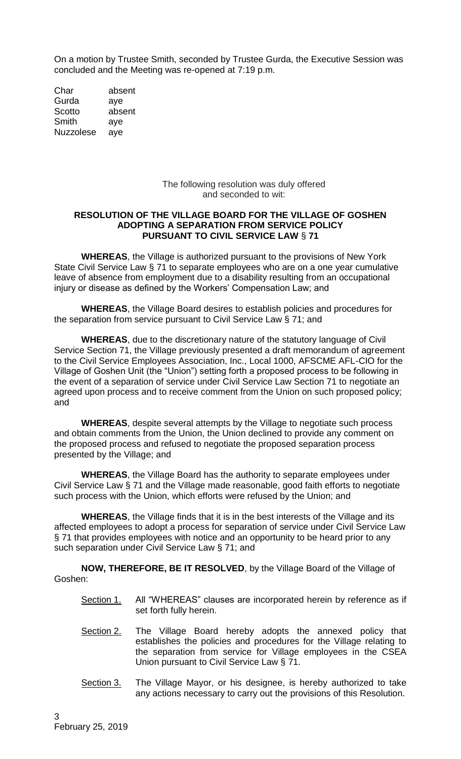On a motion by Trustee Smith, seconded by Trustee Gurda, the Executive Session was concluded and the Meeting was re-opened at 7:19 p.m.

Char absent Gurda aye Scotto absent Smith aye Nuzzolese aye

> The following resolution was duly offered and seconded to wit:

### **RESOLUTION OF THE VILLAGE BOARD FOR THE VILLAGE OF GOSHEN ADOPTING A SEPARATION FROM SERVICE POLICY PURSUANT TO CIVIL SERVICE LAW** § **71**

**WHEREAS**, the Village is authorized pursuant to the provisions of New York State Civil Service Law § 71 to separate employees who are on a one year cumulative leave of absence from employment due to a disability resulting from an occupational injury or disease as defined by the Workers' Compensation Law; and

**WHEREAS**, the Village Board desires to establish policies and procedures for the separation from service pursuant to Civil Service Law § 71; and

**WHEREAS**, due to the discretionary nature of the statutory language of Civil Service Section 71, the Village previously presented a draft memorandum of agreement to the Civil Service Employees Association, Inc., Local 1000, AFSCME AFL-CIO for the Village of Goshen Unit (the "Union") setting forth a proposed process to be following in the event of a separation of service under Civil Service Law Section 71 to negotiate an agreed upon process and to receive comment from the Union on such proposed policy; and

**WHEREAS**, despite several attempts by the Village to negotiate such process and obtain comments from the Union, the Union declined to provide any comment on the proposed process and refused to negotiate the proposed separation process presented by the Village; and

**WHEREAS**, the Village Board has the authority to separate employees under Civil Service Law § 71 and the Village made reasonable, good faith efforts to negotiate such process with the Union, which efforts were refused by the Union; and

**WHEREAS**, the Village finds that it is in the best interests of the Village and its affected employees to adopt a process for separation of service under Civil Service Law § 71 that provides employees with notice and an opportunity to be heard prior to any such separation under Civil Service Law § 71; and

**NOW, THEREFORE, BE IT RESOLVED**, by the Village Board of the Village of Goshen:

- Section 1. All "WHEREAS" clauses are incorporated herein by reference as if set forth fully herein.
- Section 2. The Village Board hereby adopts the annexed policy that establishes the policies and procedures for the Village relating to the separation from service for Village employees in the CSEA Union pursuant to Civil Service Law § 71.
- Section 3. The Village Mayor, or his designee, is hereby authorized to take any actions necessary to carry out the provisions of this Resolution.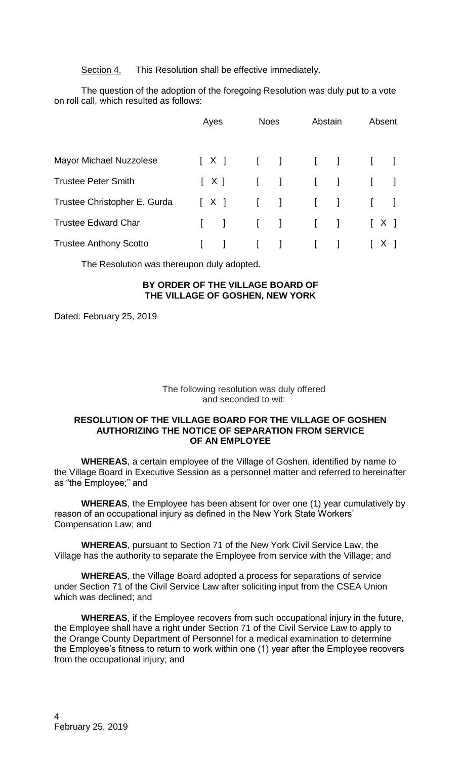Section 4. This Resolution shall be effective immediately.

The question of the adoption of the foregoing Resolution was duly put to a vote on roll call, which resulted as follows:

|                                | Ayes                                                                | <b>Noes</b>  | Abstain                                        | Absent                                                              |
|--------------------------------|---------------------------------------------------------------------|--------------|------------------------------------------------|---------------------------------------------------------------------|
| <b>Mayor Michael Nuzzolese</b> |                                                                     |              | $[X]$ [ ] [ ] [ ]                              |                                                                     |
| <b>Trustee Peter Smith</b>     | [X]                                                                 |              | $\begin{pmatrix} 1 & 1 & 1 \end{pmatrix}$      | $\Box$                                                              |
| Trustee Christopher E. Gurda   | $\begin{bmatrix} 1 & x & y \\ y & z & z \\ z & z & z \end{bmatrix}$ |              | $\begin{pmatrix} 1 & 1 \\ 1 & 1 \end{pmatrix}$ | $\begin{bmatrix} 1 & 1 \end{bmatrix}$                               |
| <b>Trustee Edward Char</b>     |                                                                     |              | [ ] [ ] [ ] [ ] [ ] [ X ]                      |                                                                     |
| <b>Trustee Anthony Scotto</b>  |                                                                     | $\mathbf{I}$ | $\begin{bmatrix} 1 & 1 \end{bmatrix}$          | $\begin{bmatrix} 1 & x & y \\ y & z & z \\ z & z & z \end{bmatrix}$ |

The Resolution was thereupon duly adopted.

# **BY ORDER OF THE VILLAGE BOARD OF THE VILLAGE OF GOSHEN, NEW YORK**

Dated: February 25, 2019

## The following resolution was duly offered and seconded to wit:

### **RESOLUTION OF THE VILLAGE BOARD FOR THE VILLAGE OF GOSHEN AUTHORIZING THE NOTICE OF SEPARATION FROM SERVICE OF AN EMPLOYEE**

**WHEREAS**, a certain employee of the Village of Goshen, identified by name to the Village Board in Executive Session as a personnel matter and referred to hereinafter as "the Employee;" and

**WHEREAS**, the Employee has been absent for over one (1) year cumulatively by reason of an occupational injury as defined in the New York State Workers' Compensation Law; and

**WHEREAS**, pursuant to Section 71 of the New York Civil Service Law, the Village has the authority to separate the Employee from service with the Village; and

**WHEREAS**, the Village Board adopted a process for separations of service under Section 71 of the Civil Service Law after soliciting input from the CSEA Union which was declined; and

**WHEREAS**, if the Employee recovers from such occupational injury in the future, the Employee shall have a right under Section 71 of the Civil Service Law to apply to the Orange County Department of Personnel for a medical examination to determine the Employee's fitness to return to work within one (1) year after the Employee recovers from the occupational injury; and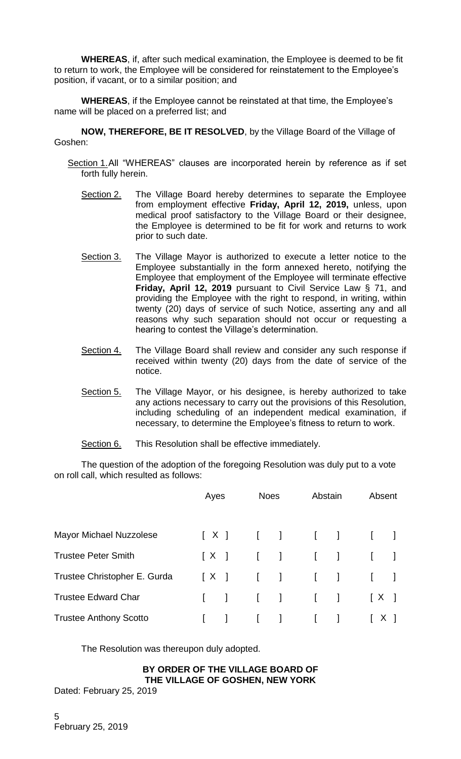**WHEREAS**, if, after such medical examination, the Employee is deemed to be fit to return to work, the Employee will be considered for reinstatement to the Employee's position, if vacant, or to a similar position; and

**WHEREAS**, if the Employee cannot be reinstated at that time, the Employee's name will be placed on a preferred list; and

**NOW, THEREFORE, BE IT RESOLVED**, by the Village Board of the Village of Goshen:

- Section 1.All "WHEREAS" clauses are incorporated herein by reference as if set forth fully herein.
	- Section 2. The Village Board hereby determines to separate the Employee from employment effective **Friday, April 12, 2019,** unless, upon medical proof satisfactory to the Village Board or their designee, the Employee is determined to be fit for work and returns to work prior to such date.
	- Section 3. The Village Mayor is authorized to execute a letter notice to the Employee substantially in the form annexed hereto, notifying the Employee that employment of the Employee will terminate effective **Friday, April 12, 2019** pursuant to Civil Service Law § 71, and providing the Employee with the right to respond, in writing, within twenty (20) days of service of such Notice, asserting any and all reasons why such separation should not occur or requesting a hearing to contest the Village's determination.
	- Section 4. The Village Board shall review and consider any such response if received within twenty (20) days from the date of service of the notice.
	- Section 5. The Village Mayor, or his designee, is hereby authorized to take any actions necessary to carry out the provisions of this Resolution, including scheduling of an independent medical examination, if necessary, to determine the Employee's fitness to return to work.
	- Section 6. This Resolution shall be effective immediately.

The question of the adoption of the foregoing Resolution was duly put to a vote on roll call, which resulted as follows:

|                               | <b>Noes</b><br>Ayes |                                               | Abstain | Absent |  |
|-------------------------------|---------------------|-----------------------------------------------|---------|--------|--|
| Mayor Michael Nuzzolese       |                     | $[X]$ [ ] [ ] [ ]                             |         |        |  |
| <b>Trustee Peter Smith</b>    |                     | $[X]$ [ ] [ ] [ ]                             |         |        |  |
| Trustee Christopher E. Gurda  |                     | $[X]$ [ ] [ ] [ ]                             |         |        |  |
| <b>Trustee Edward Char</b>    |                     | [ ] [ ] [ ] [ ] [ ] [ X ]                     |         |        |  |
| <b>Trustee Anthony Scotto</b> |                     | $\begin{bmatrix} 1 & 1 & 1 & 1 \end{bmatrix}$ |         | [X]    |  |

The Resolution was thereupon duly adopted.

## **BY ORDER OF THE VILLAGE BOARD OF THE VILLAGE OF GOSHEN, NEW YORK**

Dated: February 25, 2019